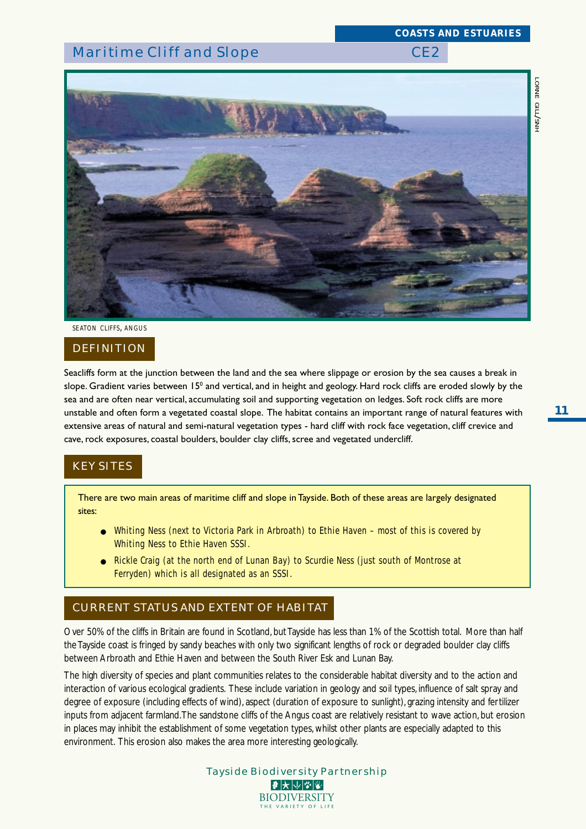*COASTS AND ESTUARIES*



*SEATON CLIFFS, ANGUS*

#### DEFINITION

Seacliffs form at the junction between the land and the sea where slippage or erosion by the sea causes a break in slope. Gradient varies between 15º and vertical, and in height and geology. Hard rock cliffs are eroded slowly by the sea and are often near vertical, accumulating soil and supporting vegetation on ledges. Soft rock cliffs are more unstable and often form a vegetated coastal slope. The habitat contains an important range of natural features with extensive areas of natural and semi-natural vegetation types - hard cliff with rock face vegetation, cliff crevice and cave, rock exposures, coastal boulders, boulder clay cliffs, scree and vegetated undercliff.

# KEY SITES

There are two main areas of maritime cliff and slope in Tayside. Both of these areas are largely designated sites:

- Whiting Ness (next to Victoria Park in Arbroath) to Ethie Haven most of this is covered by Whiting Ness to Ethie Haven SSSI.
- Rickle Craig (at the north end of Lunan Bay) to Scurdie Ness (just south of Montrose at Ferryden) which is all designated as an SSSI.

## CURRENT STATUS AND EXTENT OF HABITAT

Over 50% of the cliffs in Britain are found in Scotland, but Tayside has less than 1% of the Scottish total. More than half the Tayside coast is fringed by sandy beaches with only two significant lengths of rock or degraded boulder clay cliffs between Arbroath and Ethie Haven and between the South River Esk and Lunan Bay.

The high diversity of species and plant communities relates to the considerable habitat diversity and to the action and interaction of various ecological gradients. These include variation in geology and soil types, influence of salt spray and degree of exposure (including effects of wind), aspect (duration of exposure to sunlight), grazing intensity and fertilizer inputs from adjacent farmland. The sandstone cliffs of the Angus coast are relatively resistant to wave action, but erosion in places may inhibit the establishment of some vegetation types, whilst other plants are especially adapted to this environment. This erosion also makes the area more interesting geologically.

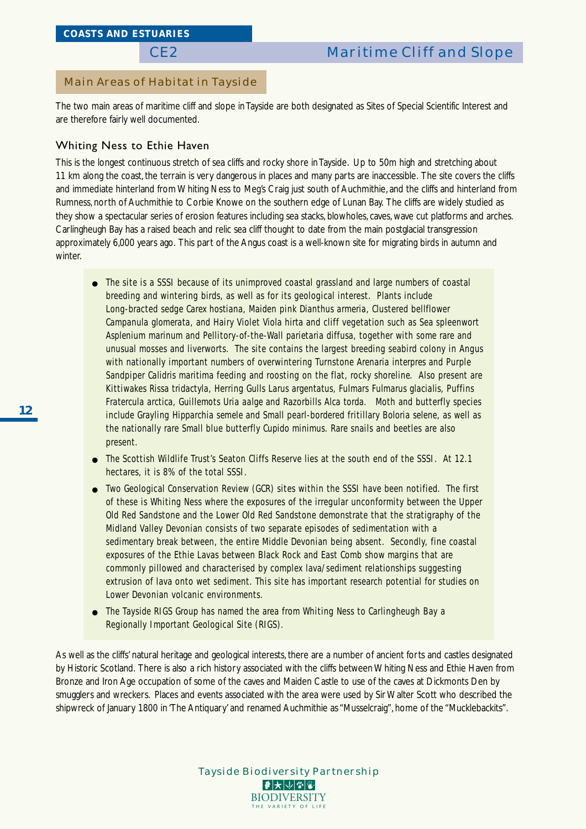## Main Areas of Habitat in Tayside

The two main areas of maritime cliff and slope in Tayside are both designated as Sites of Special Scientific Interest and are therefore fairly well documented.

## Whiting Ness to Ethie Haven

This is the longest continuous stretch of sea cliffs and rocky shore in Tayside. Up to 50m high and stretching about 11 km along the coast, the terrain is very dangerous in places and many parts are inaccessible. The site covers the cliffs and immediate hinterland from Whiting Ness to Meg's Craig just south of Auchmithie, and the cliffs and hinterland from Rumness, north of Auchmithie to Corbie Knowe on the southern edge of Lunan Bay. The cliffs are widely studied as they show a spectacular series of erosion features including sea stacks, blowholes, caves, wave cut platforms and arches. Carlingheugh Bay has a raised beach and relic sea cliff thought to date from the main postglacial transgression approximately 6,000 years ago. This part of the Angus coast is a well-known site for migrating birds in autumn and winter.

- The site is a SSSI because of its unimproved coastal grassland and large numbers of coastal breeding and wintering birds, as well as for its geological interest. Plants include Long-bracted sedge *Carex hostiana*, Maiden pink *Dianthus armeria*, Clustered bellflower *Campanula glomerata*, and Hairy Violet *Viola hirta* and cliff vegetation such as Sea spleenwort *Asplenium marinum* and Pellitory-of-the-Wall *parietaria diffusa*, together with some rare and unusual mosses and liverworts. The site contains the largest breeding seabird colony in Angus with nationally important numbers of overwintering Turnstone *Arenaria interpres* and Purple Sandpiper *Calidris maritima* feeding and roosting on the flat, rocky shoreline. Also present are Kittiwakes *Rissa tridactyla*, Herring Gulls *Larus argentatus*, Fulmars *Fulmarus glacialis*, Puffins *Fratercula arctica*, Guillemots *Uria aalge* and Razorbills *Alca torda*. Moth and butterfly species include Grayling *Hipparchia semele* and Small pearl-bordered fritillary *Boloria selene*, as well as the nationally rare Small blue butterfly *Cupido minimus*. Rare snails and beetles are also present.
- The Scottish Wildlife Trust's Seaton Cliffs Reserve lies at the south end of the SSSI. At 12.1 hectares, it is 8% of the total SSSI.
- Two Geological Conservation Review (GCR) sites within the SSSI have been notified. The first of these is Whiting Ness where the exposures of the irregular unconformity between the Upper Old Red Sandstone and the Lower Old Red Sandstone demonstrate that the stratigraphy of the Midland Valley Devonian consists of two separate episodes of sedimentation with a sedimentary break between, the entire Middle Devonian being absent. Secondly, fine coastal exposures of the Ethie Lavas between Black Rock and East Comb show margins that are commonly pillowed and characterised by complex lava/sediment relationships suggesting extrusion of lava onto wet sediment. This site has important research potential for studies on Lower Devonian volcanic environments.
- The Tayside RIGS Group has named the area from Whiting Ness to Carlingheugh Bay a Regionally Important Geological Site (RIGS).

As well as the cliffs' natural heritage and geological interests, there are a number of ancient forts and castles designated by Historic Scotland. There is also a rich history associated with the cliffs between Whiting Ness and Ethie Haven from Bronze and Iron Age occupation of some of the caves and Maiden Castle to use of the caves at Dickmonts Den by smugglers and wreckers. Places and events associated with the area were used by Sir Walter Scott who described the shipwreck of January 1800 in 'The Antiquary' and renamed Auchmithie as "Musselcraig", home of the "Mucklebackits".

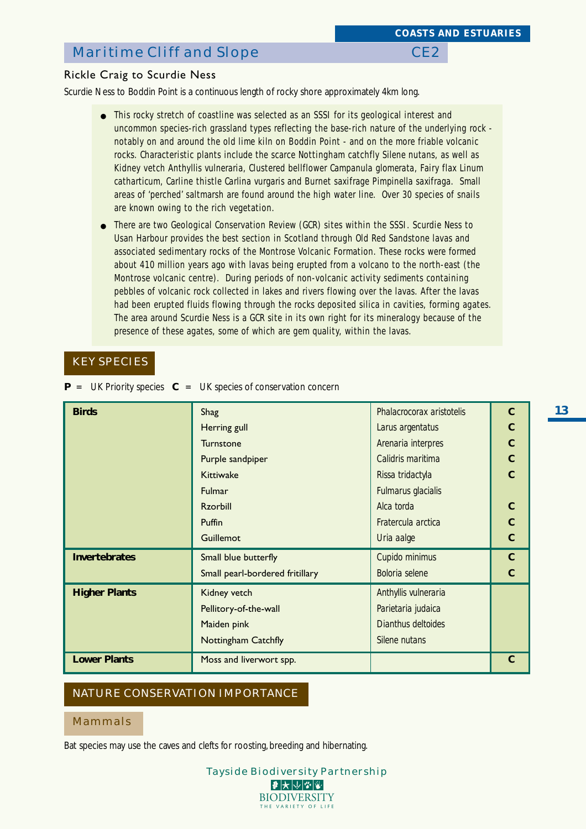### Rickle Craig to Scurdie Ness

Scurdie Ness to Boddin Point is a continuous length of rocky shore approximately 4km long.

- This rocky stretch of coastline was selected as an SSSI for its geological interest and uncommon species-rich grassland types reflecting the base-rich nature of the underlying rock notably on and around the old lime kiln on Boddin Point - and on the more friable volcanic rocks. Characteristic plants include the scarce Nottingham catchfly *Silene nutans*, as well as Kidney vetch *Anthyllis vulneraria*, Clustered bellflower *Campanula glomerata*, Fairy flax *Linum catharticum*, Carline thistle *Carlina vurgaris* and Burnet saxifrage *Pimpinella saxifraga*. Small areas of 'perched' saltmarsh are found around the high water line. Over 30 species of snails are known owing to the rich vegetation.
- There are two Geological Conservation Review (GCR) sites within the SSSI. Scurdie Ness to Usan Harbour provides the best section in Scotland through Old Red Sandstone lavas and associated sedimentary rocks of the Montrose Volcanic Formation. These rocks were formed about 410 million years ago with lavas being erupted from a volcano to the north-east (the Montrose volcanic centre). During periods of non-volcanic activity sediments containing pebbles of volcanic rock collected in lakes and rivers flowing over the lavas. After the lavas had been erupted fluids flowing through the rocks deposited silica in cavities, forming agates. The area around Scurdie Ness is a GCR site in its own right for its mineralogy because of the presence of these agates, some of which are gem quality, within the lavas.

# KEY SPECIES

**P** = UK Priority species **C** = UK species of conservation concern

| <b>Birds</b>         | Shag                            | Phalacrocorax aristotelis | $\mathbf C$    |  |  |  |
|----------------------|---------------------------------|---------------------------|----------------|--|--|--|
|                      | Herring gull                    | Larus argentatus          | $\mathbf C$    |  |  |  |
|                      | <b>Turnstone</b>                | Arenaria interpres        | $\mathbf C$    |  |  |  |
|                      | Purple sandpiper                | Calidris maritima         | $\mathbf C$    |  |  |  |
|                      | <b>Kittiwake</b>                | Rissa tridactyla          | $\overline{C}$ |  |  |  |
|                      | Fulmarus glacialis<br>Fulmar    |                           |                |  |  |  |
|                      | <b>Rzorbill</b>                 | Alca torda                | $\mathbf C$    |  |  |  |
|                      | Puffin                          | Fratercula arctica        | $\overline{C}$ |  |  |  |
|                      | Uria aalge<br>Guillemot         |                           |                |  |  |  |
| <b>Invertebrates</b> | Small blue butterfly            | Cupido minimus            | $\mathbf{C}$   |  |  |  |
|                      | Small pearl-bordered fritillary | Boloria selene            | $\mathbf C$    |  |  |  |
| <b>Higher Plants</b> | Kidney vetch                    | Anthyllis vulneraria      |                |  |  |  |
|                      | Pellitory-of-the-wall           | Parietaria judaica        |                |  |  |  |
|                      | Maiden pink                     | Dianthus deltoides        |                |  |  |  |
|                      | <b>Nottingham Catchfly</b>      | Silene nutans             |                |  |  |  |
| <b>Lower Plants</b>  | Moss and liverwort spp.         |                           | $\mathbf C$    |  |  |  |

### NATURE CONSERVATION IMPORTANCE

#### Mammals

Bat species may use the caves and clefts for roosting, breeding and hibernating.

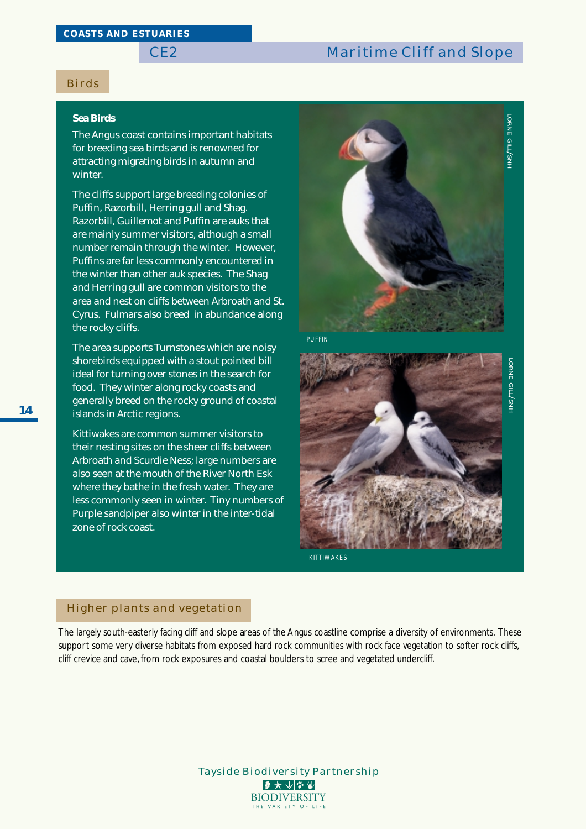### Birds

#### **Sea Birds**

The Angus coast contains important habitats for breeding sea birds and is renowned for attracting migrating birds in autumn and winter.

The cliffs support large breeding colonies of Puffin, Razorbill, Herring gull and Shag. Razorbill, Guillemot and Puffin are auks that are mainly summer visitors, although a small number remain through the winter. However, Puffins are far less commonly encountered in the winter than other auk species. The Shag and Herring gull are common visitors to the area and nest on cliffs between Arbroath and St. Cyrus. Fulmars also breed in abundance along the rocky cliffs.

The area supports Turnstones which are noisy shorebirds equipped with a stout pointed bill ideal for turning over stones in the search for food. They winter along rocky coasts and generally breed on the rocky ground of coastal islands in Arctic regions.

Kittiwakes are common summer visitors to their nesting sites on the sheer cliffs between Arbroath and Scurdie Ness; large numbers are also seen at the mouth of the River North Esk where they bathe in the fresh water. They are less commonly seen in winter. Tiny numbers of Purple sandpiper also winter in the inter-tidal zone of rock coast.



*PUFFIN*



#### Higher plants and vegetation

The largely south-easterly facing cliff and slope areas of the Angus coastline comprise a diversity of environments. These support some very diverse habitats from exposed hard rock communities with rock face vegetation to softer rock cliffs, cliff crevice and cave, from rock exposures and coastal boulders to scree and vegetated undercliff.

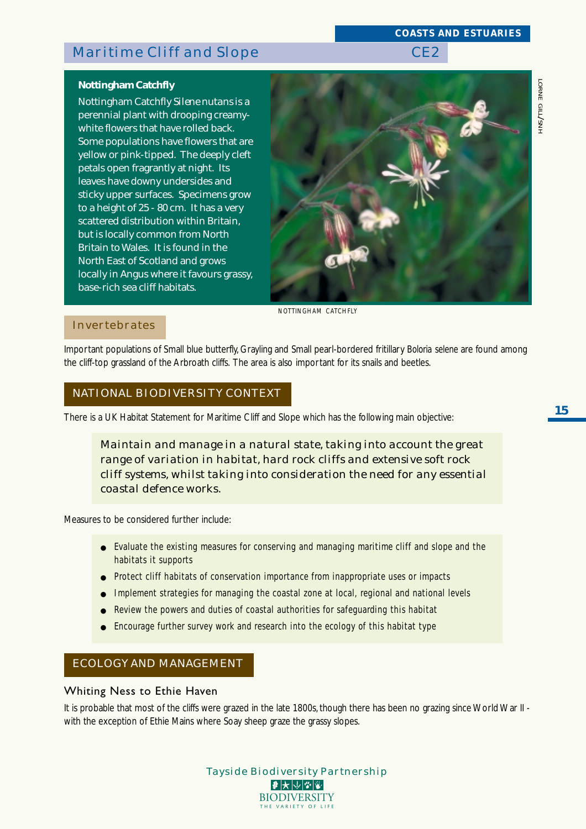### *COASTS AND ESTUARIES*

# **Nottingham Catchfly**

Nottingham Catchfly *Silene nutans* is a perennial plant with drooping creamywhite flowers that have rolled back. Some populations have flowers that are yellow or pink-tipped. The deeply cleft petals open fragrantly at night. Its leaves have downy undersides and sticky upper surfaces. Specimens grow to a height of 25 - 80 cm. It has a very scattered distribution within Britain, but is locally common from North Britain to Wales. It is found in the North East of Scotland and grows locally in Angus where it favours grassy, base-rich sea cliff habitats.



*NOTTINGHAM CATCHFLY*

## Invertebrates

Important populations of Small blue butterfly, Grayling and Small pearl-bordered fritillary *Boloria selene* are found among the cliff-top grassland of the Arbroath cliffs. The area is also important for its snails and beetles.

## NATIONAL BIODIVERSITY CONTEXT

There is a UK Habitat Statement for Maritime Cliff and Slope which has the following main objective:

*Maintain and manage in a natural state, taking into account the great range of variation in habitat, hard rock cliffs and extensive soft rock cliff systems, whilst taking into consideration the need for any essential coastal defence works.*

Measures to be considered further include:

- Evaluate the existing measures for conserving and managing maritime cliff and slope and the habitats it supports
- Protect cliff habitats of conservation importance from inappropriate uses or impacts
- Implement strategies for managing the coastal zone at local, regional and national levels
- Review the powers and duties of coastal authorities for safequarding this habitat
- Encourage further survey work and research into the ecology of this habitat type

## ECOLOGY AND MANAGEMENT

#### Whiting Ness to Ethie Haven

It is probable that most of the cliffs were grazed in the late 1800s, though there has been no grazing since World War II with the exception of Ethie Mains where Soay sheep graze the grassy slopes.

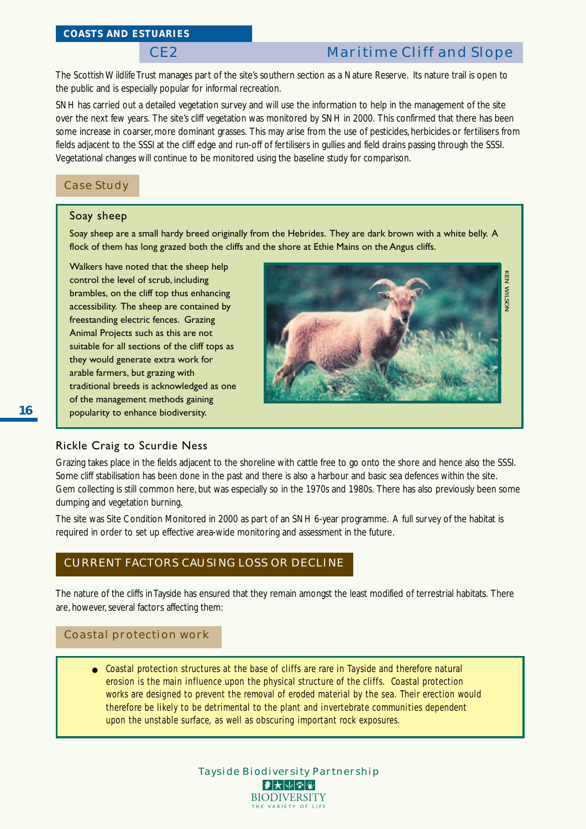The Scottish Wildlife Trust manages part of the site's southern section as a Nature Reserve. Its nature trail is open to the public and is especially popular for informal recreation.

SNH has carried out a detailed vegetation survey and will use the information to help in the management of the site over the next few years. The site's cliff vegetation was monitored by SNH in 2000. This confirmed that there has been some increase in coarser, more dominant grasses. This may arise from the use of pesticides, herbicides or fertilisers from fields adjacent to the SSSI at the cliff edge and run-off of fertilisers in gullies and field drains passing through the SSSI. Vegetational changes will continue to be monitored using the baseline study for comparison.

### Case Study

### Soay sheep

Soay sheep are a small hardy breed originally from the Hebrides. They are dark brown with a white belly. A flock of them has long grazed both the cliffs and the shore at Ethie Mains on the Angus cliffs.

Walkers have noted that the sheep help control the level of scrub, including brambles, on the cliff top thus enhancing accessibility. The sheep are contained by freestanding electric fences. Grazing Animal Projects such as this are not suitable for all sections of the cliff tops as they would generate extra work for arable farmers, but grazing with traditional breeds is acknowledged as one of the management methods gaining popularity to enhance biodiversity.



### Rickle Craig to Scurdie Ness

Grazing takes place in the fields adjacent to the shoreline with cattle free to go onto the shore and hence also the SSSI. Some cliff stabilisation has been done in the past and there is also a harbour and basic sea defences within the site. Gem collecting is still common here, but was especially so in the 1970s and 1980s. There has also previously been some dumping and vegetation burning.

The site was Site Condition Monitored in 2000 as part of an SNH 6-year programme. A full survey of the habitat is required in order to set up effective area-wide monitoring and assessment in the future.

# CURRENT FACTORS CAUSING LOSS OR DECLINE

The nature of the cliffs in Tayside has ensured that they remain amongst the least modified of terrestrial habitats. There are, however, several factors affecting them:

#### Coastal protection work

● Coastal protection structures at the base of cliffs are rare in Tayside and therefore natural erosion is the main influence upon the physical structure of the cliffs. Coastal protection works are designed to prevent the removal of eroded material by the sea. Their erection would therefore be likely to be detrimental to the plant and invertebrate communities dependent upon the unstable surface, as well as obscuring important rock exposures.

> Tayside Biodiversity Partnership |₽ ★ ↓ ↓ ↓ ↓ ↓ **BIODIVERSITY** THE VARIETY OF LI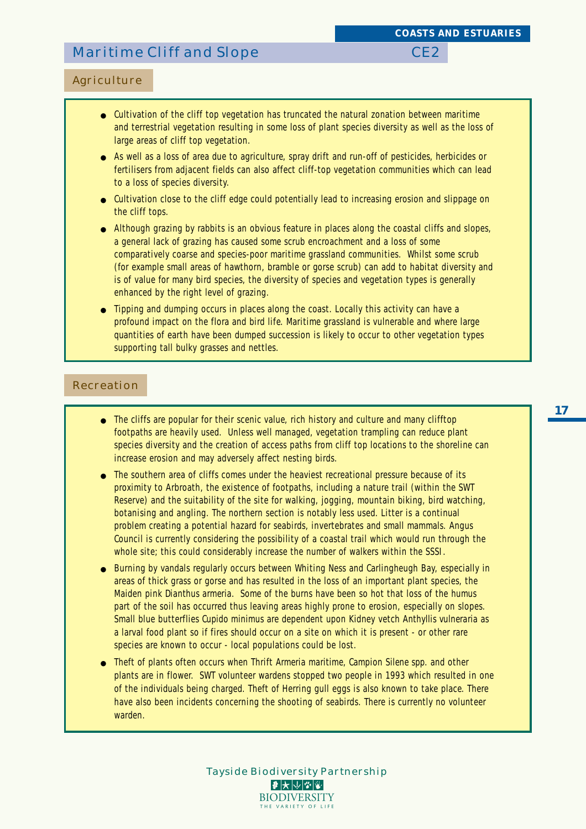## Agriculture

- Cultivation of the cliff top vegetation has truncated the natural zonation between maritime and terrestrial vegetation resulting in some loss of plant species diversity as well as the loss of large areas of cliff top vegetation.
- As well as a loss of area due to agriculture, spray drift and run-off of pesticides, herbicides or fertilisers from adjacent fields can also affect cliff-top vegetation communities which can lead to a loss of species diversity.
- Cultivation close to the cliff edge could potentially lead to increasing erosion and slippage on the cliff tops.
- Although grazing by rabbits is an obvious feature in places along the coastal cliffs and slopes, a general lack of grazing has caused some scrub encroachment and a loss of some comparatively coarse and species-poor maritime grassland communities. Whilst some scrub (for example small areas of hawthorn, bramble or gorse scrub) can add to habitat diversity and is of value for many bird species, the diversity of species and vegetation types is generally enhanced by the right level of grazing.
- Tipping and dumping occurs in places along the coast. Locally this activity can have a profound impact on the flora and bird life. Maritime grassland is vulnerable and where large quantities of earth have been dumped succession is likely to occur to other vegetation types supporting tall bulky grasses and nettles.

#### Recreation

- The cliffs are popular for their scenic value, rich history and culture and many clifftop footpaths are heavily used. Unless well managed, vegetation trampling can reduce plant species diversity and the creation of access paths from cliff top locations to the shoreline can increase erosion and may adversely affect nesting birds.
- The southern area of cliffs comes under the heaviest recreational pressure because of its proximity to Arbroath, the existence of footpaths, including a nature trail (within the SWT Reserve) and the suitability of the site for walking, jogging, mountain biking, bird watching, botanising and angling. The northern section is notably less used. Litter is a continual problem creating a potential hazard for seabirds, invertebrates and small mammals. Angus Council is currently considering the possibility of a coastal trail which would run through the whole site; this could considerably increase the number of walkers within the SSSI.
- Burning by vandals regularly occurs between Whiting Ness and Carlingheugh Bay, especially in areas of thick grass or gorse and has resulted in the loss of an important plant species, the Maiden pink *Dianthus armeria*. Some of the burns have been so hot that loss of the humus part of the soil has occurred thus leaving areas highly prone to erosion, especially on slopes. Small blue butterflies *Cupido minimus* are dependent upon Kidney vetch *Anthyllis vulneraria* as a larval food plant so if fires should occur on a site on which it is present - or other rare species are known to occur - local populations could be lost.
- Theft of plants often occurs when Thrift *Armeria maritime*, Campion *Silene spp*. and other plants are in flower. SWT volunteer wardens stopped two people in 1993 which resulted in one of the individuals being charged. Theft of Herring gull eggs is also known to take place. There have also been incidents concerning the shooting of seabirds. There is currently no volunteer warden.

Tayside Biodiversity Partnership

 $|\mathcal{F}|\mathcal{F}|\mathcal{V}|\mathcal{F}|\mathcal{F}|$ **BIODIVERSITY** THE VARIETY OF LI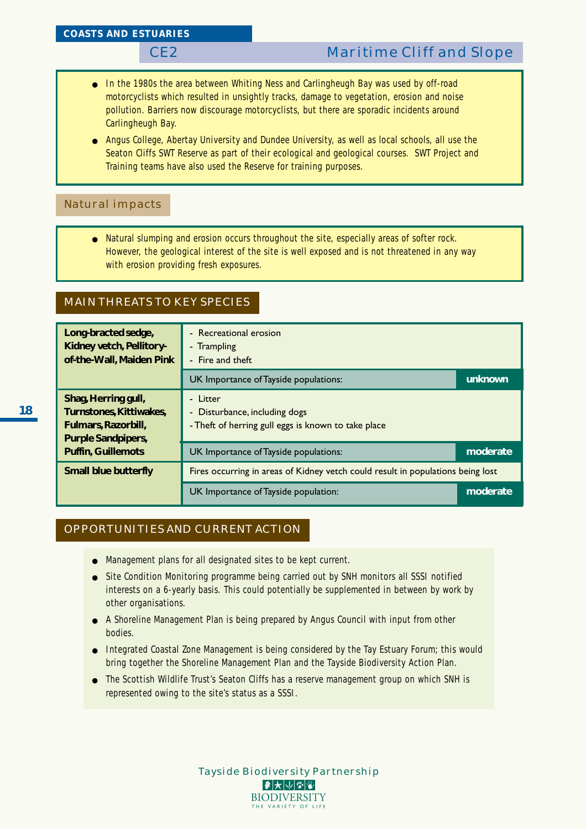- In the 1980s the area between Whiting Ness and Carlingheugh Bay was used by off-road motorcyclists which resulted in unsightly tracks, damage to vegetation, erosion and noise pollution. Barriers now discourage motorcyclists, but there are sporadic incidents around Carlingheugh Bay.
- Angus College, Abertay University and Dundee University, as well as local schools, all use the Seaton Cliffs SWT Reserve as part of their ecological and geological courses. SWT Project and Training teams have also used the Reserve for training purposes.

### Natural impacts

● Natural slumping and erosion occurs throughout the site, especially areas of softer rock. However, the geological interest of the site is well exposed and is not threatened in any way with erosion providing fresh exposures.

## MAIN THREATS TO KEY SPECIES

| Long-bracted sedge,<br>Kidney vetch, Pellitory-<br>of-the-Wall, Maiden Pink                        | - Recreational erosion<br>- Trampling<br>- Fire and theft                                        |          |  |  |  |  |  |  |
|----------------------------------------------------------------------------------------------------|--------------------------------------------------------------------------------------------------|----------|--|--|--|--|--|--|
|                                                                                                    | UK Importance of Tayside populations:                                                            | unknown  |  |  |  |  |  |  |
| Shag, Herring gull,<br>Turnstones, Kittiwakes,<br>Fulmars, Razorbill,<br><b>Purple Sandpipers,</b> | - Litter<br>- Disturbance, including dogs<br>- Theft of herring gull eggs is known to take place |          |  |  |  |  |  |  |
| <b>Puffin, Guillemots</b>                                                                          | UK Importance of Tayside populations:                                                            | moderate |  |  |  |  |  |  |
| <b>Small blue butterfly</b>                                                                        | Fires occurring in areas of Kidney vetch could result in populations being lost                  |          |  |  |  |  |  |  |
|                                                                                                    | UK Importance of Tayside population:                                                             | moderate |  |  |  |  |  |  |

## OPPORTUNITIES AND CURRENT ACTION

- Management plans for all designated sites to be kept current.
- Site Condition Monitoring programme being carried out by SNH monitors all SSSI notified interests on a 6-yearly basis. This could potentially be supplemented in between by work by other organisations.
- A Shoreline Management Plan is being prepared by Angus Council with input from other bodies.
- Integrated Coastal Zone Management is being considered by the Tay Estuary Forum; this would bring together the Shoreline Management Plan and the Tayside Biodiversity Action Plan.
- The Scottish Wildlife Trust's Seaton Cliffs has a reserve management group on which SNH is represented owing to the site's status as a SSSI.

**18**

| <b>Tayside Biodiversity Partnership</b>                                                                       |
|---------------------------------------------------------------------------------------------------------------|
| $\blacktriangleright$ $\blacktriangleright$ $\blacktriangleright$ $\blacktriangleright$ $\blacktriangleright$ |
| <b>BIODIVERSITY</b>                                                                                           |
| THE VARIETY OF LIFE                                                                                           |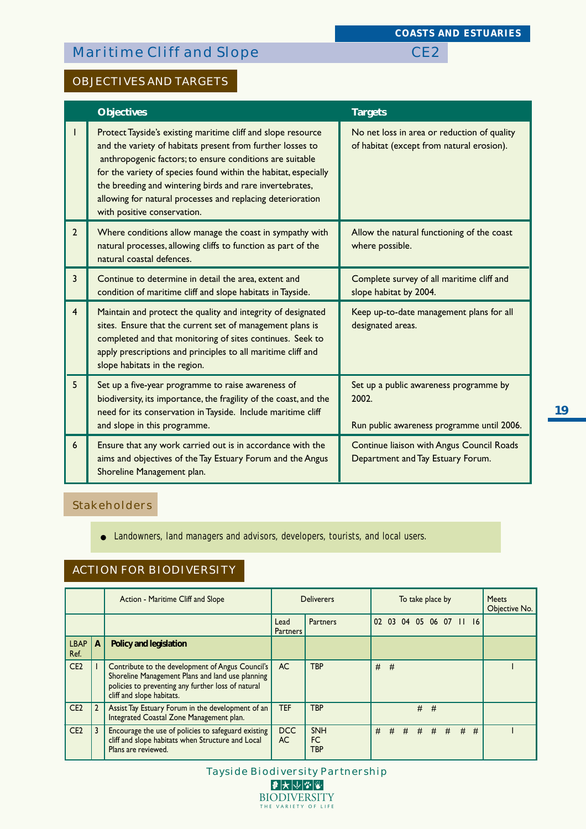*COASTS AND ESTUARIES*

# OBJECTIVES AND TARGETS

|                | <b>Objectives</b>                                                                                                                                                                                                                                                                                                                                                                                                  | <b>Targets</b>                                                                                |
|----------------|--------------------------------------------------------------------------------------------------------------------------------------------------------------------------------------------------------------------------------------------------------------------------------------------------------------------------------------------------------------------------------------------------------------------|-----------------------------------------------------------------------------------------------|
|                | Protect Tayside's existing maritime cliff and slope resource<br>and the variety of habitats present from further losses to<br>anthropogenic factors; to ensure conditions are suitable<br>for the variety of species found within the habitat, especially<br>the breeding and wintering birds and rare invertebrates,<br>allowing for natural processes and replacing deterioration<br>with positive conservation. | No net loss in area or reduction of quality<br>of habitat (except from natural erosion).      |
| 2 <sup>1</sup> | Where conditions allow manage the coast in sympathy with<br>natural processes, allowing cliffs to function as part of the<br>natural coastal defences.                                                                                                                                                                                                                                                             | Allow the natural functioning of the coast<br>where possible.                                 |
| $\overline{3}$ | Continue to determine in detail the area, extent and<br>condition of maritime cliff and slope habitats in Tayside.                                                                                                                                                                                                                                                                                                 | Complete survey of all maritime cliff and<br>slope habitat by 2004.                           |
| $\overline{4}$ | Maintain and protect the quality and integrity of designated<br>sites. Ensure that the current set of management plans is<br>completed and that monitoring of sites continues. Seek to<br>apply prescriptions and principles to all maritime cliff and<br>slope habitats in the region.                                                                                                                            | Keep up-to-date management plans for all<br>designated areas.                                 |
| 5              | Set up a five-year programme to raise awareness of<br>biodiversity, its importance, the fragility of the coast, and the<br>need for its conservation in Tayside. Include maritime cliff<br>and slope in this programme.                                                                                                                                                                                            | Set up a public awareness programme by<br>2002.<br>Run public awareness programme until 2006. |
| 6              | Ensure that any work carried out is in accordance with the<br>aims and objectives of the Tay Estuary Forum and the Angus<br>Shoreline Management plan.                                                                                                                                                                                                                                                             | Continue liaison with Angus Council Roads<br>Department and Tay Estuary Forum.                |

## Stakeholders

● Landowners, land managers and advisors, developers, tourists, and local users.

# ACTION FOR BIODIVERSITY

|                     |   | Action - Maritime Cliff and Slope                                                                                                                                                       |                         | <b>Deliverers</b>       | To take place by |   |   |             |   | <b>Meets</b><br>Objective No. |       |  |
|---------------------|---|-----------------------------------------------------------------------------------------------------------------------------------------------------------------------------------------|-------------------------|-------------------------|------------------|---|---|-------------|---|-------------------------------|-------|--|
|                     |   |                                                                                                                                                                                         | Lead<br><b>Partners</b> | Partners                |                  |   |   |             |   | 02 03 04 05 06 07 11 16       |       |  |
| <b>LBAP</b><br>Ref. | A | Policy and legislation                                                                                                                                                                  |                         |                         |                  |   |   |             |   |                               |       |  |
| CE <sub>2</sub>     |   | Contribute to the development of Angus Council's<br>Shoreline Management Plans and land use planning<br>policies to preventing any further loss of natural<br>cliff and slope habitats. | AC                      | <b>TBP</b>              | #                | # |   |             |   |                               |       |  |
| CE <sub>2</sub>     |   | Assist Tay Estuary Forum in the development of an<br>Integrated Coastal Zone Management plan.                                                                                           | <b>TEF</b>              | <b>TBP</b>              |                  |   |   | #           | # |                               |       |  |
| CE <sub>2</sub>     |   | Encourage the use of policies to safeguard existing<br>cliff and slope habitats when Structure and Local<br>Plans are reviewed.                                                         | DCC<br><b>AC</b>        | <b>SNH</b><br>FC<br>TBP | #                | # | # | $#$ $#$ $#$ |   |                               | $#$ # |  |